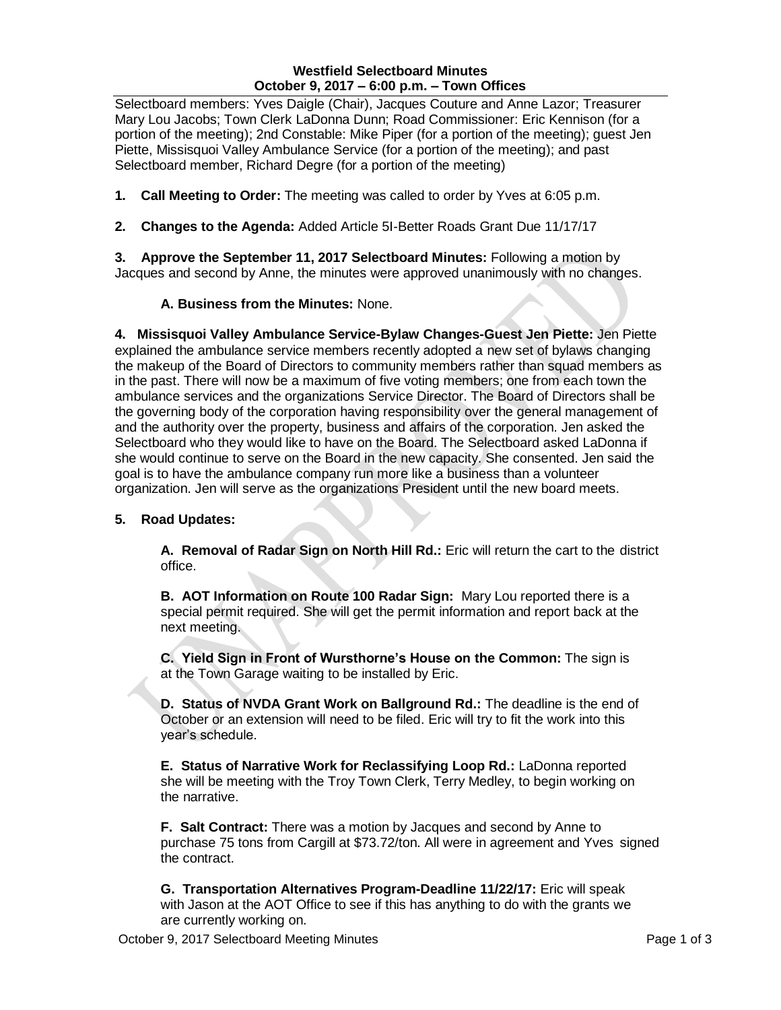# **Westfield Selectboard Minutes October 9, 2017 – 6:00 p.m. – Town Offices**

Selectboard members: Yves Daigle (Chair), Jacques Couture and Anne Lazor; Treasurer Mary Lou Jacobs; Town Clerk LaDonna Dunn; Road Commissioner: Eric Kennison (for a portion of the meeting); 2nd Constable: Mike Piper (for a portion of the meeting); guest Jen Piette, Missisquoi Valley Ambulance Service (for a portion of the meeting); and past Selectboard member, Richard Degre (for a portion of the meeting)

- **1. Call Meeting to Order:** The meeting was called to order by Yves at 6:05 p.m.
- **2. Changes to the Agenda:** Added Article 5I-Better Roads Grant Due 11/17/17

**3. Approve the September 11, 2017 Selectboard Minutes:** Following a motion by Jacques and second by Anne, the minutes were approved unanimously with no changes.

# **A. Business from the Minutes:** None.

**4. Missisquoi Valley Ambulance Service-Bylaw Changes-Guest Jen Piette:** Jen Piette explained the ambulance service members recently adopted a new set of bylaws changing the makeup of the Board of Directors to community members rather than squad members as in the past. There will now be a maximum of five voting members; one from each town the ambulance services and the organizations Service Director. The Board of Directors shall be the governing body of the corporation having responsibility over the general management of and the authority over the property, business and affairs of the corporation. Jen asked the Selectboard who they would like to have on the Board. The Selectboard asked LaDonna if she would continue to serve on the Board in the new capacity. She consented. Jen said the goal is to have the ambulance company run more like a business than a volunteer organization. Jen will serve as the organizations President until the new board meets.

# **5. Road Updates:**

**A. Removal of Radar Sign on North Hill Rd.:** Eric will return the cart to the district office.

**B. AOT Information on Route 100 Radar Sign:** Mary Lou reported there is a special permit required. She will get the permit information and report back at the next meeting.

**C. Yield Sign in Front of Wursthorne's House on the Common:** The sign is at the Town Garage waiting to be installed by Eric.

**D. Status of NVDA Grant Work on Ballground Rd.:** The deadline is the end of October or an extension will need to be filed. Eric will try to fit the work into this year's schedule.

**E. Status of Narrative Work for Reclassifying Loop Rd.:** LaDonna reported she will be meeting with the Troy Town Clerk, Terry Medley, to begin working on the narrative.

**F. Salt Contract:** There was a motion by Jacques and second by Anne to purchase 75 tons from Cargill at \$73.72/ton. All were in agreement and Yves signed the contract.

**G. Transportation Alternatives Program-Deadline 11/22/17:** Eric will speak with Jason at the AOT Office to see if this has anything to do with the grants we are currently working on.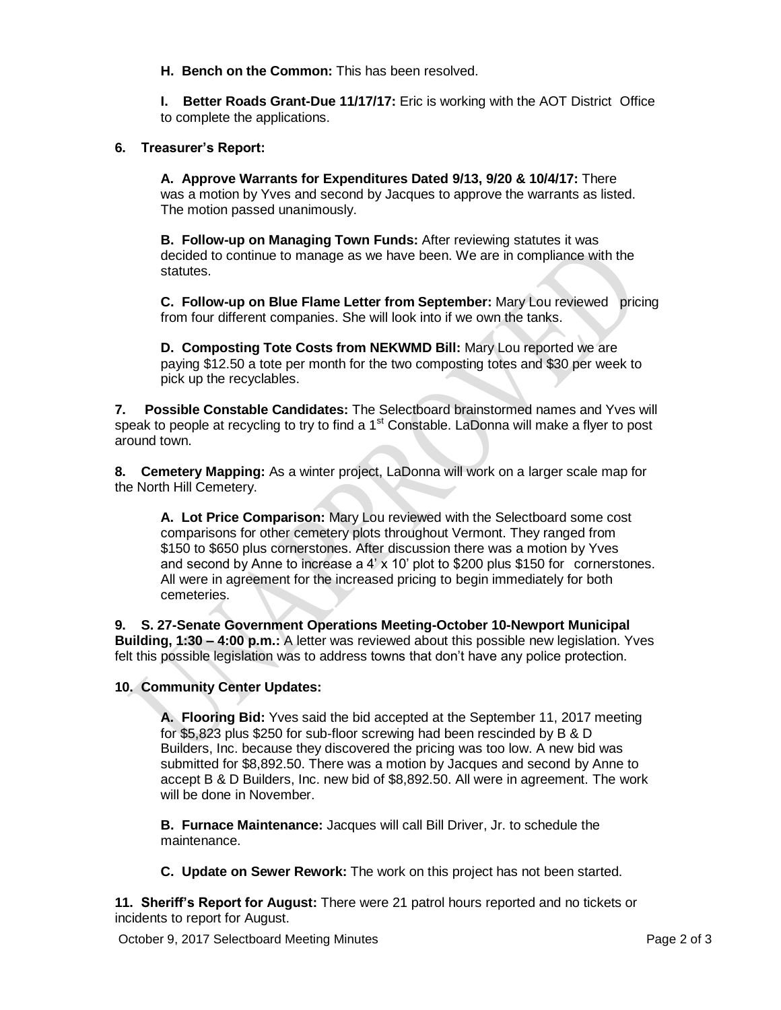**H. Bench on the Common:** This has been resolved.

**I. Better Roads Grant-Due 11/17/17:** Eric is working with the AOT District Office to complete the applications.

### **6. Treasurer's Report:**

**A. Approve Warrants for Expenditures Dated 9/13, 9/20 & 10/4/17:** There was a motion by Yves and second by Jacques to approve the warrants as listed. The motion passed unanimously.

**B. Follow-up on Managing Town Funds:** After reviewing statutes it was decided to continue to manage as we have been. We are in compliance with the statutes.

**C. Follow-up on Blue Flame Letter from September:** Mary Lou reviewed pricing from four different companies. She will look into if we own the tanks.

**D. Composting Tote Costs from NEKWMD Bill:** Mary Lou reported we are paying \$12.50 a tote per month for the two composting totes and \$30 per week to pick up the recyclables.

**7. Possible Constable Candidates:** The Selectboard brainstormed names and Yves will speak to people at recycling to try to find a  $1<sup>st</sup>$  Constable. LaDonna will make a flyer to post around town.

**8. Cemetery Mapping:** As a winter project, LaDonna will work on a larger scale map for the North Hill Cemetery.

**A. Lot Price Comparison:** Mary Lou reviewed with the Selectboard some cost comparisons for other cemetery plots throughout Vermont. They ranged from \$150 to \$650 plus cornerstones. After discussion there was a motion by Yves and second by Anne to increase a  $4' \times 10'$  plot to \$200 plus \$150 for cornerstones. All were in agreement for the increased pricing to begin immediately for both cemeteries.

**9. S. 27-Senate Government Operations Meeting-October 10-Newport Municipal Building, 1:30 – 4:00 p.m.:** A letter was reviewed about this possible new legislation. Yves felt this possible legislation was to address towns that don't have any police protection.

#### **10. Community Center Updates:**

**A. Flooring Bid:** Yves said the bid accepted at the September 11, 2017 meeting for \$5,823 plus \$250 for sub-floor screwing had been rescinded by B & D Builders, Inc. because they discovered the pricing was too low. A new bid was submitted for \$8,892.50. There was a motion by Jacques and second by Anne to accept B & D Builders, Inc. new bid of \$8,892.50. All were in agreement. The work will be done in November.

**B. Furnace Maintenance:** Jacques will call Bill Driver, Jr. to schedule the maintenance.

**C. Update on Sewer Rework:** The work on this project has not been started.

**11. Sheriff's Report for August:** There were 21 patrol hours reported and no tickets or incidents to report for August.

October 9, 2017 Selectboard Meeting Minutes **Page 2 of 3** and 2 of 3